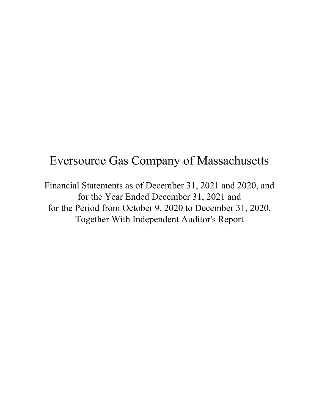## Eversource Gas Company of Massachusetts

Financial Statements as of December 31, 2021 and 2020, and for the Year Ended December 31, 2021 and for the Period from October 9, 2020 to December 31, 2020, Together With Independent Auditor's Report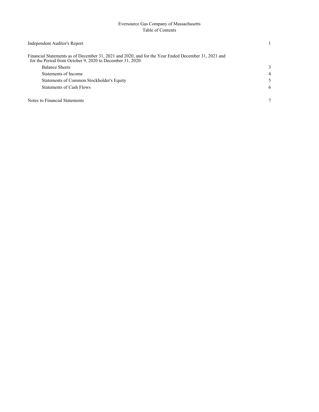#### Eversource Gas Company of Massachusetts Table of Contents

| Independent Auditor's Report                                                                                                                                     |   |
|------------------------------------------------------------------------------------------------------------------------------------------------------------------|---|
| Financial Statements as of December 31, 2021 and 2020, and for the Year Ended December 31, 2021 and<br>for the Period from October 9, 2020 to December 31, 2020: |   |
| <b>Balance Sheets</b>                                                                                                                                            | 3 |
| Statements of Income                                                                                                                                             | 4 |
| Statements of Common Stockholder's Equity                                                                                                                        | 5 |
| <b>Statements of Cash Flows</b>                                                                                                                                  | 6 |
|                                                                                                                                                                  |   |
| Notes to Financial Statements                                                                                                                                    |   |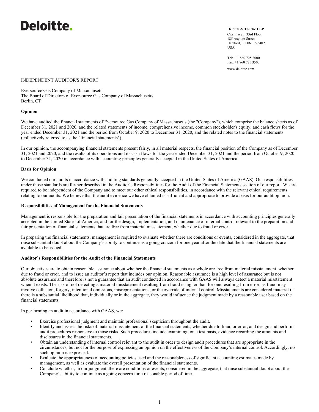# **Deloitte.**  $\bullet$

 City Place I, 33rd Floor 185 Asylum Street Hartford, CT 06103-3402 USA

Tel: +1 860 725 3000<br>Fax: +1 860 725 3500 Fax: +1 860 725 3500 www.deloitte.com

#### INDEPENDENT AUDITOR'S REPORT

Eversource Gas Company of Massachusetts The Board of Directors of Eversource Gas Company of Massachusetts Berlin, CT

#### **Opinion**

We have audited the financial statements of Eversource Gas Company of Massachusetts (the "Company"), which comprise the balance sheets as of December 31, 2021 and 2020, and the related statements of income, comprehensive income, common stockholder's equity, and cash flows for the year ended December 31, 2021 and the period from October 9, 2020 to December 31, 2020, and the related notes to the financial statements (collectively referred to as the "financial statements").

In our opinion, the accompanying financial statements present fairly, in all material respects, the financial position of the Company as of December 31, 2021 and 2020, and the results of its operations and its cash flows for the year ended December 31, 2021 and the period from October 9, 2020 to December 31, 2020 in accordance with accounting principles generally accepted in the United States of America.

#### **Basis for Opinion**

We conducted our audits in accordance with auditing standards generally accepted in the United States of America (GAAS). Our responsibilities under those standards are further described in the Auditor's Responsibilities for the Audit of the Financial Statements section of our report. We are required to be independent of the Company and to meet our other ethical responsibilities, in accordance with the relevant ethical requirements relating to our audits. We believe that the audit evidence we have obtained is sufficient and appropriate to provide a basis for our audit opinion.

#### **Responsibilities of Management for the Financial Statements**

Management is responsible for the preparation and fair presentation of the financial statements in accordance with accounting principles generally accepted in the United States of America, and for the design, implementation, and maintenance of internal control relevant to the preparation and fair presentation of financial statements that are free from material misstatement, whether due to fraud or error.

In preparing the financial statements, management is required to evaluate whether there are conditions or events, considered in the aggregate, that raise substantial doubt about the Company's ability to continue as a going concern for one year after the date that the financial statements are available to be issued.

#### **Auditor's Responsibilities for the Audit of the Financial Statements**

Our objectives are to obtain reasonable assurance about whether the financial statements as a whole are free from material misstatement, whether due to fraud or error, and to issue an auditor's report that includes our opinion. Reasonable assurance is a high level of assurance but is not absolute assurance and therefore is not a guarantee that an audit conducted in accordance with GAAS will always detect a material misstatement when it exists. The risk of not detecting a material misstatement resulting from fraud is higher than for one resulting from error, as fraud may involve collusion, forgery, intentional omissions, misrepresentations, or the override of internal control. Misstatements are considered material if there is a substantial likelihood that, individually or in the aggregate, they would influence the judgment made by a reasonable user based on the financial statements.

In performing an audit in accordance with GAAS, we:

- Exercise professional judgment and maintain professional skepticism throughout the audit.
- Identify and assess the risks of material misstatement of the financial statements, whether due to fraud or error, and design and perform audit procedures responsive to those risks. Such procedures include examining, on a test basis, evidence regarding the amounts and disclosures in the financial statements.
- Obtain an understanding of internal control relevant to the audit in order to design audit procedures that are appropriate in the circumstances, but not for the purpose of expressing an opinion on the effectiveness of the Company's internal control. Accordingly, no such opinion is expressed.
- Evaluate the appropriateness of accounting policies used and the reasonableness of significant accounting estimates made by management, as well as evaluate the overall presentation of the financial statements.
- Conclude whether, in our judgment, there are conditions or events, considered in the aggregate, that raise substantial doubt about the Company's ability to continue as a going concern for a reasonable period of time.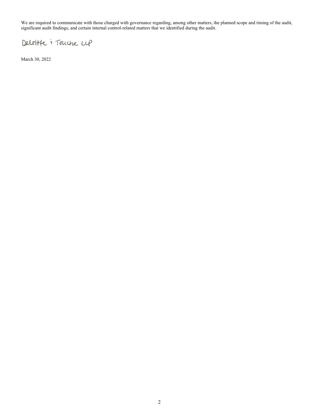We are required to communicate with those charged with governance regarding, among other matters, the planned scope and timing of the audit, significant audit findings, and certain internal control-related matters that we identified during the audit.

### Deloitte: Touche LLP

March 30, 2022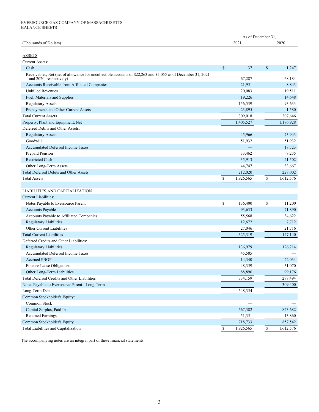#### EVERSOURCE GAS COMPANY OF MASSACHUSETTS BALANCE SHEETS

|                        |      | As of December 31, |  |  |  |  |  |  |  |
|------------------------|------|--------------------|--|--|--|--|--|--|--|
| (Thousands of Dollars) | 2021 | 2020               |  |  |  |  |  |  |  |
|                        |      |                    |  |  |  |  |  |  |  |
|                        |      |                    |  |  |  |  |  |  |  |

#### **ASSETS** Current Assets:

| Cash                                                                                                                                     | $\mathbf S$  | 37        | $\mathbf S$ | 1,247     |
|------------------------------------------------------------------------------------------------------------------------------------------|--------------|-----------|-------------|-----------|
| Receivables, Net (net of allowance for uncollectible accounts of \$22,263 and \$5,055 as of December 31, 2021<br>and 2020, respectively) |              | 67,287    |             | 68,184    |
| Accounts Receivable from Affiliated Companies                                                                                            |              | 21,951    |             | 8,843     |
| <b>Unbilled Revenues</b>                                                                                                                 |              | 20,083    |             | 19,511    |
| Fuel, Materials and Supplies                                                                                                             |              | 19,226    |             | 14,648    |
| <b>Regulatory Assets</b>                                                                                                                 |              | 156,539   |             | 93,633    |
| Prepayments and Other Current Assets                                                                                                     |              | 23,895    |             | 1,580     |
| <b>Total Current Assets</b>                                                                                                              |              | 309,018   |             | 207,646   |
| Property, Plant and Equipment, Net                                                                                                       |              | 1,405,527 |             | 1,176,928 |
| Deferred Debits and Other Assets:                                                                                                        |              |           |             |           |
| <b>Regulatory Assets</b>                                                                                                                 |              | 45,966    |             | 73,943    |
| Goodwill                                                                                                                                 |              | 51,932    |             | 51,932    |
| <b>Accumulated Deferred Income Taxes</b>                                                                                                 |              |           |             | 18,723    |
| Prepaid Pension                                                                                                                          |              | 33,462    |             | 8,235     |
| <b>Restricted Cash</b>                                                                                                                   |              | 35,913    |             | 41,502    |
| Other Long-Term Assets                                                                                                                   |              | 44,747    |             | 33,667    |
| <b>Total Deferred Debits and Other Assets</b>                                                                                            |              | 212,020   |             | 228,002   |
| <b>Total Assets</b>                                                                                                                      | \$           | 1,926,565 | \$          | 1,612,576 |
|                                                                                                                                          |              |           |             |           |
| <b>LIABILITIES AND CAPITALIZATION</b>                                                                                                    |              |           |             |           |
| <b>Current Liabilities:</b>                                                                                                              |              |           |             |           |
| Notes Payable to Eversource Parent                                                                                                       | $\mathbb{S}$ | 136,400   | \$          | 11,200    |
| Accounts Payable                                                                                                                         |              | 93,633    |             | 71,890    |
| Accounts Payable to Affiliated Companies                                                                                                 |              | 55,568    |             | 34,622    |
| <b>Regulatory Liabilities</b>                                                                                                            |              | 12,672    |             | 7,712     |
| Other Current Liabilities                                                                                                                |              | 27,046    |             | 21,716    |
| <b>Total Current Liabilities</b>                                                                                                         |              | 325,319   |             | 147,140   |
| Deferred Credits and Other Liabilities:                                                                                                  |              |           |             |           |
| <b>Regulatory Liabilities</b>                                                                                                            |              | 136,979   |             | 126,214   |
| Accumulated Deferred Income Taxes                                                                                                        |              | 45,585    |             |           |
| <b>Accrued PBOP</b>                                                                                                                      |              | 14,340    |             | 22,034    |
| Finance Lease Obligations                                                                                                                |              | 48,359    |             | 51,070    |
| Other Long-Term Liabilities                                                                                                              |              | 88,896    |             | 99,176    |
| Total Deferred Credits and Other Liabilities                                                                                             |              | 334,159   |             | 298,494   |
| Notes Payable to Eversource Parent - Long-Term                                                                                           |              |           |             | 309,400   |
| Long-Term Debt                                                                                                                           |              | 548,354   |             |           |
| Common Stockholder's Equity:                                                                                                             |              |           |             |           |
| Common Stock                                                                                                                             |              |           |             |           |
| Capital Surplus, Paid In                                                                                                                 |              | 667,382   |             | 843,682   |
| <b>Retained Earnings</b>                                                                                                                 |              | 51,351    |             | 13,860    |
| Common Stockholder's Equity                                                                                                              |              | 718,733   |             | 857,542   |
| Total Liabilities and Capitalization                                                                                                     | $\mathbb{S}$ | 1,926,565 | \$          | 1,612,576 |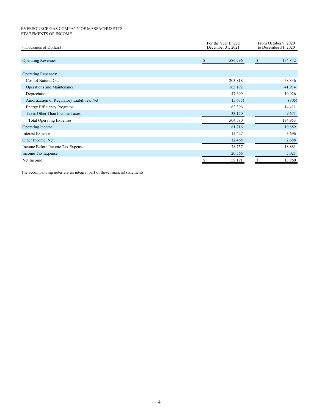#### EVERSOURCE GAS COMPANY OF MASSACHUSETTS STATEMENTS OF INCOME

| (Thousands of Dollars)                      |              | For the Year Ended<br>December 31, 2021 | From October 9, 2020<br>to December 31, 2020 |         |  |
|---------------------------------------------|--------------|-----------------------------------------|----------------------------------------------|---------|--|
|                                             |              |                                         |                                              |         |  |
| <b>Operating Revenues</b>                   | $\mathbf{s}$ | 586,296                                 | $\mathbb{S}$                                 | 154,842 |  |
|                                             |              |                                         |                                              |         |  |
| Operating Expenses:                         |              |                                         |                                              |         |  |
| Cost of Natural Gas                         |              | 203,818                                 |                                              | 58,836  |  |
| Operations and Maintenance                  |              | 163,192                                 |                                              | 41,914  |  |
| Depreciation                                |              | 47,699                                  |                                              | 10,926  |  |
| Amortization of Regulatory Liabilities, Net |              | (5,675)                                 |                                              | (805)   |  |
| <b>Energy Efficiency Programs</b>           |              | 62,396                                  |                                              | 14,411  |  |
| Taxes Other Than Income Taxes               |              | 33,150                                  |                                              | 9,671   |  |
| <b>Total Operating Expenses</b>             |              | 504,580                                 |                                              | 134,953 |  |
| Operating Income                            |              | 81,716                                  |                                              | 19,889  |  |
| <b>Interest Expense</b>                     |              | 15,427                                  |                                              | 3,696   |  |
| Other Income, Net                           |              | 12,468                                  |                                              | 2,688   |  |
| Income Before Income Tax Expense            |              | 78,757                                  |                                              | 18,881  |  |
| Income Tax Expense                          |              | 20,566                                  |                                              | 5,021   |  |
| Net Income                                  | \$           | 58,191                                  | \$                                           | 13,860  |  |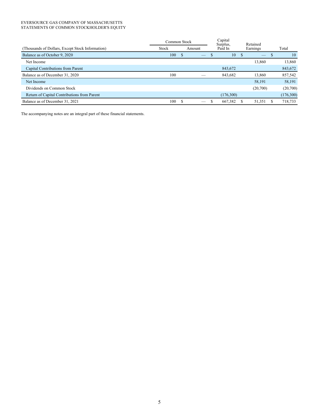#### EVERSOURCE GAS COMPANY OF MASSACHUSETTS STATEMENTS OF COMMON STOCKHOLDER'S EQUITY

|                                                  | Capital<br>Common Stock<br>Surplus. |     |        | Retained  |          |  |           |
|--------------------------------------------------|-------------------------------------|-----|--------|-----------|----------|--|-----------|
| (Thousands of Dollars, Except Stock Information) | Stock                               |     | Amount | Paid In   | Earnings |  | Total     |
| Balance as of October 9, 2020                    | 100                                 | \$. |        | 10        |          |  | 10        |
| Net Income                                       |                                     |     |        |           | 13,860   |  | 13,860    |
| Capital Contributions from Parent                |                                     |     |        | 843,672   |          |  | 843,672   |
| Balance as of December 31, 2020                  | 100                                 |     |        | 843,682   | 13,860   |  | 857,542   |
| Net Income                                       |                                     |     |        |           | 58,191   |  | 58,191    |
| Dividends on Common Stock                        |                                     |     |        |           | (20,700) |  | (20,700)  |
| Return of Capital Contributions from Parent      |                                     |     |        | (176,300) |          |  | (176,300) |
| Balance as of December 31, 2021                  | 100                                 | S   |        | 667,382   | 51,351   |  | 718,733   |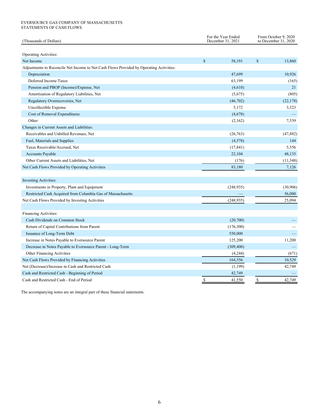#### EVERSOURCE GAS COMPANY OF MASSACHUSETTS STATEMENTS OF CASH FLOWS

| (Thousands of Dollars)                                                                  |             | For the Year Ended<br>December 31, 2021 | From October 9, 2020<br>to December 31, 2020 |           |  |
|-----------------------------------------------------------------------------------------|-------------|-----------------------------------------|----------------------------------------------|-----------|--|
| Operating Activities:                                                                   |             |                                         |                                              |           |  |
| Net Income                                                                              | $\mathbf S$ | 58,191                                  | $\mathbf S$                                  | 13,860    |  |
| Adjustments to Reconcile Net Income to Net Cash Flows Provided by Operating Activities: |             |                                         |                                              |           |  |
| Depreciation                                                                            |             | 47,699                                  |                                              | 10,926    |  |
| Deferred Income Taxes                                                                   |             | 63,199                                  |                                              | (165)     |  |
| Pension and PBOP (Income)/Expense, Net                                                  |             | (4,610)                                 |                                              | 21        |  |
| Amortization of Regulatory Liabilities, Net                                             |             | (5,675)                                 |                                              | (805)     |  |
| Regulatory Overrecoveries, Net                                                          |             | (46,702)                                |                                              | (22, 178) |  |
| Uncollectible Expense                                                                   |             | 5,172                                   |                                              | 3,323     |  |
| Cost of Removal Expenditures                                                            |             | (4,678)                                 |                                              |           |  |
| Other                                                                                   |             | (2,162)                                 |                                              | 7,539     |  |
| Changes in Current Assets and Liabilities:                                              |             |                                         |                                              |           |  |
| Receivables and Unbilled Revenues, Net                                                  |             | (26,763)                                |                                              | (47, 882) |  |
| Fuel, Materials and Supplies                                                            |             | (4,578)                                 |                                              | 144       |  |
| Taxes Receivable/Accrued, Net                                                           |             | (17, 841)                               |                                              | 5,556     |  |
| <b>Accounts Payable</b>                                                                 |             | 22,104                                  |                                              | 48,135    |  |
| Other Current Assets and Liabilities, Net                                               |             | (176)                                   |                                              | (11, 348) |  |
| Net Cash Flows Provided by Operating Activities                                         |             | 83,180                                  |                                              | 7,126     |  |
|                                                                                         |             |                                         |                                              |           |  |
| Investing Activities:                                                                   |             |                                         |                                              |           |  |
| Investments in Property, Plant and Equipment                                            |             | (248, 935)                              |                                              | (30,906)  |  |
| Restricted Cash Acquired from Columbia Gas of Massachusetts                             |             |                                         |                                              | 56,000    |  |
| Net Cash Flows Provided by Investing Activities                                         |             | (248, 935)                              |                                              | 25,094    |  |
|                                                                                         |             |                                         |                                              |           |  |
| Financing Activities:                                                                   |             |                                         |                                              |           |  |
| Cash Dividends on Common Stock                                                          |             | (20,700)                                |                                              |           |  |
| Return of Capital Contributions from Parent                                             |             | (176,300)                               |                                              |           |  |
| Issuance of Long-Term Debt                                                              |             | 550,000                                 |                                              |           |  |
| Increase in Notes Payable to Eversource Parent                                          |             | 125,200                                 |                                              | 11,200    |  |
| Decrease in Notes Payable to Eversource Parent - Long-Term                              |             | (309, 400)                              |                                              |           |  |
| Other Financing Activities                                                              |             | (4,244)                                 |                                              | (671)     |  |
| Net Cash Flows Provided by Financing Activities                                         |             | 164,556                                 |                                              | 10,529    |  |
| Net (Decrease)/Increase in Cash and Restricted Cash                                     |             | (1,199)                                 |                                              | 42,749    |  |
| Cash and Restricted Cash - Beginning of Period                                          |             | 42,749                                  |                                              |           |  |
| Cash and Restricted Cash - End of Period                                                | \$          | 41,550                                  | \$                                           | 42,749    |  |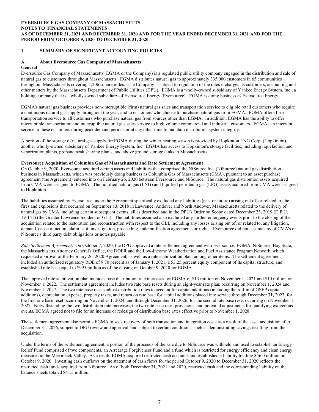#### **EVERSOURCE GAS COMPANY OF MASSACHUSETTS NOTES TO FINANCIAL STATEMENTS AS OF DECEMBER 31, 2021 AND DECEMBER 31, 2020 AND FOR THE YEAR ENDED DECEMBER 31, 2021 AND FOR THE PERIOD FROM OCTOBER 9, 2020 TO DECEMBER 31, 2020**

#### **1. SUMMARY OF SIGNIFICANT ACCOUNTING POLICIES**

#### **A. About Eversource Gas Company of Massachusetts**

#### **General**

Eversource Gas Company of Massachusetts (EGMA or the Company) is a regulated public utility company engaged in the distribution and sale of natural gas to customers throughout Massachusetts. EGMA distributes natural gas to approximately 335,000 customers in 65 communities throughout Massachusetts covering 1,206 square miles. The Company is subject to regulation of the rates it charges its customers, accounting and other matters by the Massachusetts Department of Public Utilities (DPU). EGMA is a wholly-owned subsidiary of Yankee Energy System, Inc., a holding company that is a wholly-owned subsidiary of Eversource Energy (Eversource). EGMA is doing business as Eversource Energy.

EGMA's natural gas business provides non**-**interruptible (firm) natural gas sales and transportation service to eligible retail customers who require a continuous natural gas supply throughout the year, and to customers who choose to purchase natural gas from EGMA. EGMA offers firm transportation service to all customers who purchase natural gas from sources other than EGMA. In addition, EGMA has the ability to offer interruptible transportation and interruptible natural gas sales service to high volume commercial and industrial customers. EGMA can interrupt service to these customers during peak demand periods or at any other time to maintain distribution system integrity.

A portion of the storage of natural gas supply for EGMA during the winter heating season is provided by Hopkinton LNG Corp. (Hopkinton), another wholly-owned subsidiary of Yankee Energy System, Inc. EGMA has access to Hopkinton's storage facilities, including liquefaction and vaporization plants, propane peak shaving plants, and above ground storage tanks in Massachusetts.

#### **Eversource Acquisition of Columbia Gas of Massachusetts and Rate Settlement Agreement**

On October 9, 2020, Eversource acquired certain assets and liabilities that comprised the NiSource Inc. (NiSource) natural gas distribution business in Massachusetts, which was previously doing business as Columbia Gas of Massachusetts (CMA), pursuant to an asset purchase agreement (the Agreement) entered into on February 26, 2020 between Eversource and NiSource. The natural gas distribution assets acquired from CMA were assigned to EGMA. The liquified natural gas (LNG) and liquified petroleum gas (LPG) assets acquired from CMA were assigned to Hopkinton.

The liabilities assumed by Eversource under the Agreement specifically excluded any liabilities (past or future) arising out of, or related to, the fires and explosions that occurred on September 13, 2018 in Lawrence, Andover and North Andover, Massachusetts related to the delivery of natural gas by CMA, including certain subsequent events, all as described and in the DPU's Order on Scope dated December 23, 2019 (D.P.U. 19-141) (the Greater Lawrence Incident or GLI). The liabilities assumed also excluded any further emergency events prior to the closing of the acquisition related to the restoration and reconstruction with respect to the GLI, including any losses arising out of, or related to, any litigation, demand, cause of action, claim, suit, investigation, proceeding, indemnification agreements or rights. Eversource did not assume any of CMA's or NiSource's third party debt obligations or notes payable.

*Rate Settlement Agreement*: On October 7, 2020, the DPU approved a rate settlement agreement with Eversource, EGMA, NiSource, Bay State, the Massachusetts Attorney General's Office, the DOER and the Low-Income Weatherization and Fuel Assistance Program Network, which requested approval of the February 26, 2020 Agreement, as well as a rate stabilization plan, among other items. The settlement agreement included an authorized regulatory ROE of 9.70 percent as of January 1, 2021, a 53.25 percent equity component of its capital structure, and established rate base equal to \$995 million as of the closing on October 9, 2020 for EGMA.

The approved rate stabilization plan includes base distribution rate increases for EGMA of \$13 million on November 1, 2021 and \$10 million on November 1, 2022. The settlement agreement includes two rate base resets during an eight-year rate plan, occurring on November 1, 2024 and November 1, 2027. The two rate base resets adjust distribution rates to account for capital additions (including the roll-in of GSEP capital additions), depreciation expense, property taxes, and return on rate base for capital additions placed into service through December 31, 2023, for the first rate base reset occurring on November 1, 2024, and through December 31, 2026, for the second rate base reset occurring on November 1, 2027. Notwithstanding the two distribution rate increases, the two rate base reset provisions, and potential adjustments for qualifying exogenous events, EGMA agreed not to file for an increase or redesign of distribution base rates effective prior to November 1, 2028.

The settlement agreement also permits EGMA to seek recovery of both transaction and integration costs as a result of the asset acquisition after December 31, 2026, subject to DPU review and approval, and subject to certain conditions, such as demonstrating savings resulting from the acquisition.

Under the terms of the settlement agreement, a portion of the proceeds of the sale due to NiSource was withheld and used to establish an Energy Relief Fund comprised of two components, an Arrearage Forgiveness Fund and a fund which is restricted for energy efficiency and clean energy measures in the Merrimack Valley. As a result, EGMA acquired restricted cash accounts and established a liability totaling \$56.0 million on October 9, 2020. Investing cash outflows on the statement of cash flows for the period October 9, 2020 to December 31, 2020 reflects the restricted cash funds acquired from NiSource. As of both December 31, 2021 and 2020, restricted cash and the corresponding liability on the balance sheets totaled \$41.5 million.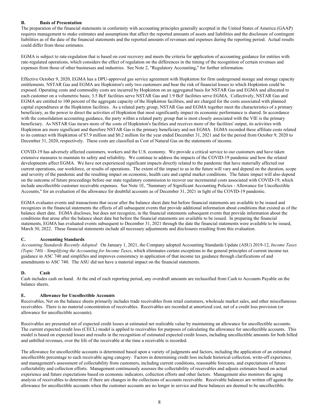#### **B. Basis of Presentation**

The preparation of the financial statements in conformity with accounting principles generally accepted in the United States of America (GAAP) requires management to make estimates and assumptions that affect the reported amounts of assets and liabilities and the disclosure of contingent liabilities as of the date of the financial statements and the reported amounts of revenues and expenses during the reporting period. Actual results could differ from those estimates.

EGMA is subject to rate-regulation that is based on cost recovery and meets the criteria for application of accounting guidance for entities with rate-regulated operations, which considers the effect of regulation on the differences in the timing of the recognition of certain revenues and expenses from those of other businesses and industries. See Note 2, "Regulatory Accounting," for further information.

Effective October 9, 2020, EGMA has a DPU-approved gas service agreement with Hopkinton for firm underground storage and storage capacity entitlements. NSTAR Gas and EGMA are Hopkinton's only two customers and bear the risk of financial losses to which Hopkinton could be exposed. Operating costs and commodity costs are incurred by Hopkinton on an aggregated basis for NSTAR Gas and EGMA and allocated to each customer on a volumetric basis; 3.5 BcF facilities serve NSTAR Gas and 1.9 BcF facilities serve EGMA. Collectively, NSTAR Gas and EGMA are entitled to 100 percent of the aggregate capacity of the Hopkinton facilities, and are charged for the costs associated with planned capital expenditures at the Hopkinton facilities. As a related party group, NSTAR Gas and EGMA together meet the characteristics of a primary beneficiary, as the power to direct the activities of Hopkinton that most significantly impact its economic performance is shared. In accordance with the consolidation accounting guidance, the party within a related party group that is most closely associated with the VIE is the primary beneficiary. As NSTAR Gas incurs more of the costs of Hopkinton's facilities and receives more of the facilities' output, its activities with Hopkinton are more significant and therefore NSTAR Gas is the primary beneficiary and not EGMA. EGMA recorded these affiliate costs related to its contract with Hopkinton of \$7.9 million and \$0.2 million for the year ended December 31, 2021 and for the period from October 9, 2020 to December 31, 2020, respectively. These costs are classified as Cost of Natural Gas on the statements of income.

COVID-19 has adversely affected customers, workers and the U.S. economy. We provide a critical service to our customers and have taken extensive measures to maintain its safety and reliability. We continue to address the impacts of the COVID-19 pandemic and how the related developments affect EGMA. We have not experienced significant impacts directly related to the pandemic that have materially affected our current operations, our workforce, or results of operations. The extent of the impact to us in the future will vary and depend on the duration, scope and severity of the pandemic and the resulting impact on economic, health care and capital market conditions. The future impact will also depend on the outcome of future proceedings before our state regulatory commission to recover our incremental costs associated with COVID-19, which include uncollectible customer receivable expenses. See Note 1E, "Summary of Significant Accounting Policies - Allowance for Uncollectible Accounts," for an evaluation of the allowance for doubtful accounts as of December 31, 2021 in light of the COVID-19 pandemic.

EGMA evaluates events and transactions that occur after the balance sheet date but before financial statements are available to be issued and recognizes in the financial statements the effects of all subsequent events that provide additional information about conditions that existed as of the balance sheet date. EGMA discloses, but does not recognize, in the financial statements subsequent events that provide information about the conditions that arose after the balance sheet date but before the financial statements are available to be issued. In preparing the financial statements, EGMA has evaluated events subsequent to December 31, 2021 through the date the financial statements were available to be issued, March 30, 2022. These financial statements include all necessary adjustments and disclosures resulting from this evaluation.

#### **C. Accounting Standards**

*Accounting Standards Recently Adopted:* On January 1, 2021, the Company adopted Accounting Standards Update (ASU) 2019-12, *Income Taxes (Topic 740) - Simplifying the Accounting for Income Taxes*, which eliminates certain exceptions to the general principles of current income tax guidance in ASC 740 and simplifies and improves consistency in application of that income tax guidance through clarifications of and amendments to ASC 740. The ASU did not have a material impact on the financial statements.

#### **D. Cash**

Cash includes cash on hand. At the end of each reporting period, any overdraft amounts are reclassified from Cash to Accounts Payable on the balance sheets.

#### **E. Allowance for Uncollectible Accounts**

Receivables, Net on the balance sheets primarily includes trade receivables from retail customers, wholesale market sales, and other miscellaneous receivables. There is no material concentration of receivables. Receivables are recorded at amortized cost, net of a credit loss provision (or allowance for uncollectible accounts).

Receivables are presented net of expected credit losses at estimated net realizable value by maintaining an allowance for uncollectible accounts. The current expected credit loss (CECL) model is applied to receivables for purposes of calculating the allowance for uncollectible accounts. This model is based on expected losses and results in the recognition of estimated expected credit losses, including uncollectible amounts for both billed and unbilled revenues, over the life of the receivable at the time a receivable is recorded.

The allowance for uncollectible accounts is determined based upon a variety of judgments and factors, including the application of an estimated uncollectible percentage to each receivable aging category. Factors in determining credit loss include historical collection, write-off experience, and management's assessment of collectability from customers, including current conditions, reasonable forecasts, and expectations of future collectability and collection efforts. Management continuously assesses the collectability of receivables and adjusts estimates based on actual experience and future expectations based on economic indicators, collection efforts and other factors. Management also monitors the aging analysis of receivables to determine if there are changes in the collections of accounts receivable. Receivable balances are written off against the allowance for uncollectible accounts when the customer accounts are no longer in service and these balances are deemed to be uncollectible.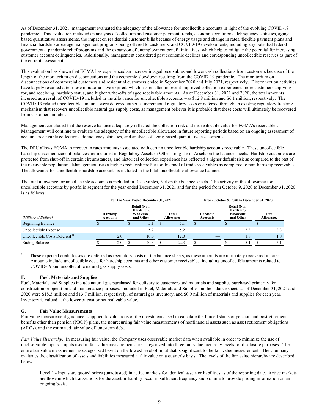As of December 31, 2021, management evaluated the adequacy of the allowance for uncollectible accounts in light of the evolving COVID-19 pandemic. This evaluation included an analysis of collection and customer payment trends, economic conditions, delinquency statistics, agingbased quantitative assessments, the impact on residential customer bills because of energy usage and change in rates, flexible payment plans and financial hardship arrearage management programs being offered to customers, and COVID-19 developments, including any potential federal governmental pandemic relief programs and the expansion of unemployment benefit initiatives, which help to mitigate the potential for increasing customer account delinquencies. Additionally, management considered past economic declines and corresponding uncollectible reserves as part of the current assessment.

This evaluation has shown that EGMA has experienced an increase in aged receivables and lower cash collections from customers because of the length of the moratorium on disconnections and the economic slowdown resulting from the COVID-19 pandemic. The moratorium on disconnections of commercial customers and residential customers ended in September 2020 and July 2021, respectively. Disconnection activities have largely resumed after these moratoria have expired, which has resulted in recent improved collection experience, more customers applying for, and receiving, hardship status, and higher write-offs of aged receivable amounts. As of December 31, 2021 and 2020, the total amounts incurred as a result of COVID-19 included in the allowance for uncollectible accounts was \$12.8 million and \$6.1 million, respectively. The COVID-19 related uncollectible amounts were deferred either as incremental regulatory costs or deferred through an existing regulatory tracking mechanism that recovers uncollectible natural gas supply costs, as management believes it is probable that these costs will ultimately be recovered from customers in rates.

Management concluded that the reserve balance adequately reflected the collection risk and net realizable value for EGMA's receivables. Management will continue to evaluate the adequacy of the uncollectible allowance in future reporting periods based on an ongoing assessment of accounts receivable collections, delinquency statistics, and analysis of aging-based quantitative assessments.

The DPU allows EGMA to recover in rates amounts associated with certain uncollectible hardship accounts receivable. These uncollectible hardship customer account balances are included in Regulatory Assets or Other Long-Term Assets on the balance sheets. Hardship customers are protected from shut-off in certain circumstances, and historical collection experience has reflected a higher default risk as compared to the rest of the receivable population. Management uses a higher credit risk profile for this pool of trade receivables as compared to non-hardship receivables. The allowance for uncollectible hardship accounts is included in the total uncollectible allowance balance.

The total allowance for uncollectible accounts is included in Receivables, Net on the balance sheets. The activity in the allowance for uncollectible accounts by portfolio segment for the year ended December 31, 2021 and for the period from October 9, 2020 to December 31, 2020 is as follows:

|                                             | For the Year Ended December 31, 2021 |                      |  |                                                              |  |                                  | From October 9, 2020 to December 31, 2020 |                                                              |                                  |
|---------------------------------------------|--------------------------------------|----------------------|--|--------------------------------------------------------------|--|----------------------------------|-------------------------------------------|--------------------------------------------------------------|----------------------------------|
| (Millions of Dollars)                       |                                      | Hardship<br>Accounts |  | <b>Retail (Non-</b><br>Hardship),<br>Wholesale,<br>and Other |  | <b>Total</b><br><b>Allowance</b> | Hardship<br>Accounts                      | <b>Retail (Non-</b><br>Hardship),<br>Wholesale.<br>and Other | <b>Total</b><br><b>Allowance</b> |
| <b>Beginning Balance</b>                    |                                      |                      |  | 5.1                                                          |  | 5.1                              |                                           |                                                              |                                  |
| Uncollectible Expense                       |                                      |                      |  | 5.2                                                          |  | 5.2                              |                                           | 3.3                                                          | 3.3                              |
| Uncollectible Costs Deferred <sup>(1)</sup> |                                      | 2.0                  |  | 10.0                                                         |  | 12.0                             |                                           | 1.8                                                          | 1.8                              |
| <b>Ending Balance</b>                       |                                      | 2.0                  |  | 20.3                                                         |  | 22.3                             |                                           |                                                              |                                  |

<sup>(1)</sup> These expected credit losses are deferred as regulatory costs on the balance sheets, as these amounts are ultimately recovered in rates. Amounts include uncollectible costs for hardship accounts and other customer receivables, including uncollectible amounts related to COVID-19 and uncollectible natural gas supply costs.

#### **F. Fuel, Materials and Supplies**

Fuel, Materials and Supplies include natural gas purchased for delivery to customers and materials and supplies purchased primarily for construction or operation and maintenance purposes. Included in Fuel, Materials and Supplies on the balance sheets as of December 31, 2021 and 2020 were \$18.3 million and \$13.7 million, respectively, of natural gas inventory, and \$0.9 million of materials and supplies for each year. Inventory is valued at the lower of cost or net realizable value.

#### **G. Fair Value Measurements**

Fair value measurement guidance is applied to valuations of the investments used to calculate the funded status of pension and postretirement benefits other than pension (PBOP) plans, the nonrecurring fair value measurements of nonfinancial assets such as asset retirement obligations (AROs), and the estimated fair value of long-term debt.

*Fair Value Hierarchy:* In measuring fair value, the Company uses observable market data when available in order to minimize the use of unobservable inputs. Inputs used in fair value measurements are categorized into three fair value hierarchy levels for disclosure purposes. The entire fair value measurement is categorized based on the lowest level of input that is significant to the fair value measurement. The Company evaluates the classification of assets and liabilities measured at fair value on a quarterly basis. The levels of the fair value hierarchy are described below:

Level 1 - Inputs are quoted prices (unadjusted) in active markets for identical assets or liabilities as of the reporting date. Active markets are those in which transactions for the asset or liability occur in sufficient frequency and volume to provide pricing information on an ongoing basis.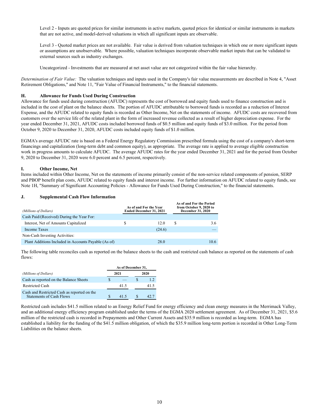Level 2 - Inputs are quoted prices for similar instruments in active markets, quoted prices for identical or similar instruments in markets that are not active, and model-derived valuations in which all significant inputs are observable.

Level 3 - Quoted market prices are not available. Fair value is derived from valuation techniques in which one or more significant inputs or assumptions are unobservable. Where possible, valuation techniques incorporate observable market inputs that can be validated to external sources such as industry exchanges.

Uncategorized - Investments that are measured at net asset value are not categorized within the fair value hierarchy.

*Determination of Fair Value:* The valuation techniques and inputs used in the Company's fair value measurements are described in Note 4, "Asset Retirement Obligations," and Note 11, "Fair Value of Financial Instruments," to the financial statements.

#### **H. Allowance for Funds Used During Construction**

Allowance for funds used during construction (AFUDC) represents the cost of borrowed and equity funds used to finance construction and is included in the cost of plant on the balance sheets. The portion of AFUDC attributable to borrowed funds is recorded as a reduction of Interest Expense, and the AFUDC related to equity funds is recorded as Other Income, Net on the statements of income. AFUDC costs are recovered from customers over the service life of the related plant in the form of increased revenue collected as a result of higher depreciation expense. For the year ended December 31, 2021, AFUDC costs included borrowed funds of \$0.5 million and equity funds of \$3.0 million. For the period from October 9, 2020 to December 31, 2020, AFUDC costs included equity funds of \$1.0 million.

EGMA's average AFUDC rate is based on a Federal Energy Regulatory Commission prescribed formula using the cost of a company's short-term financings and capitalization (long-term debt and common equity), as appropriate. The average rate is applied to average eligible construction work in progress amounts to calculate AFUDC. The average AFUDC rates for the year ended December 31, 2021 and for the period from October 9, 2020 to December 31, 2020 were 6.0 percent and 6.5 percent, respectively.

#### **I. Other Income, Net**

Items included within Other Income, Net on the statements of income primarily consist of the non-service related components of pension, SERP and PBOP benefit plan costs, AFUDC related to equity funds and interest income. For further information on AFUDC related to equity funds, see Note 1H, "Summary of Significant Accounting Policies - Allowance for Funds Used During Construction," to the financial statements.

#### **J. Supplemental Cash Flow Information**

| (Millions of Dollars)                                | As of and For the Year<br><b>Ended December 31, 2021</b> |   | As of and For the Period<br>from October 9, 2020 to<br><b>December 31, 2020</b> |
|------------------------------------------------------|----------------------------------------------------------|---|---------------------------------------------------------------------------------|
| Cash Paid/(Received) During the Year For:            |                                                          |   |                                                                                 |
| Interest, Net of Amounts Capitalized                 | 12.0                                                     | S | 3.6                                                                             |
| <b>Income Taxes</b>                                  | (24.6)                                                   |   |                                                                                 |
| Non-Cash Investing Activities:                       |                                                          |   |                                                                                 |
| Plant Additions Included in Accounts Payable (As of) | 28.0                                                     |   | 10.6                                                                            |

The following table reconciles cash as reported on the balance sheets to the cash and restricted cash balance as reported on the statements of cash flows:

|                                                                                | As of December 31, |      |  |      |  |  |
|--------------------------------------------------------------------------------|--------------------|------|--|------|--|--|
| (Millions of Dollars)                                                          |                    | 2021 |  | 2020 |  |  |
| Cash as reported on the Balance Sheets                                         |                    |      |  |      |  |  |
| <b>Restricted Cash</b>                                                         |                    | 41.5 |  |      |  |  |
| Cash and Restricted Cash as reported on the<br><b>Statements of Cash Flows</b> |                    |      |  |      |  |  |

Restricted cash includes \$41.5 million related to an Energy Relief Fund for energy efficiency and clean energy measures in the Merrimack Valley, and an additional energy efficiency program established under the terms of the EGMA 2020 settlement agreement. As of December 31, 2021, \$5.6 million of the restricted cash is recorded in Prepayments and Other Current Assets and \$35.9 million is recorded as long-term. EGMA has established a liability for the funding of the \$41.5 million obligation, of which the \$35.9 million long-term portion is recorded in Other Long-Term Liabilities on the balance sheets.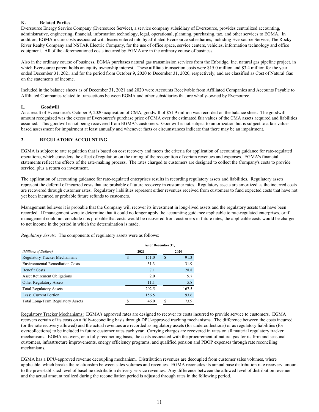#### **K. Related Parties**

Eversource Energy Service Company (Eversource Service), a service company subsidiary of Eversource, provides centralized accounting, administrative, engineering, financial, information technology, legal, operational, planning, purchasing, tax, and other services to EGMA. In addition, EGMA incurs costs associated with leases entered into by affiliated Eversource subsidiaries, including Eversource Service, The Rocky River Realty Company and NSTAR Electric Company, for the use of office space, service centers, vehicles, information technology and office equipment. All of the aforementioned costs incurred by EGMA are in the ordinary course of business.

Also in the ordinary course of business, EGMA purchases natural gas transmission services from the Enbridge, Inc. natural gas pipeline project, in which Eversource parent holds an equity ownership interest. These affiliate transaction costs were \$15.0 million and \$3.4 million for the year ended December 31, 2021 and for the period from October 9, 2020 to December 31, 2020, respectively, and are classified as Cost of Natural Gas on the statements of income.

Included in the balance sheets as of December 31, 2021 and 2020 were Accounts Receivable from Affiliated Companies and Accounts Payable to Affiliated Companies related to transactions between EGMA and other subsidiaries that are wholly-owned by Eversource.

#### **L. Goodwill**

As a result of Eversource's October 9, 2020 acquisition of CMA, goodwill of \$51.9 million was recorded on the balance sheet. The goodwill amount recognized was the excess of Eversource's purchase price of CMA over the estimated fair values of the CMA assets acquired and liabilities assumed. This goodwill is not being recovered from EGMA's customers. Goodwill is not subject to amortization but is subject to a fair valuebased assessment for impairment at least annually and whenever facts or circumstances indicate that there may be an impairment.

#### **2. REGULATORY ACCOUNTING**

EGMA is subject to rate regulation that is based on cost recovery and meets the criteria for application of accounting guidance for rate-regulated operations, which considers the effect of regulation on the timing of the recognition of certain revenues and expenses. EGMA's financial statements reflect the effects of the rate-making process. The rates charged to customers are designed to collect the Company's costs to provide service, plus a return on investment.

The application of accounting guidance for rate-regulated enterprises results in recording regulatory assets and liabilities. Regulatory assets represent the deferral of incurred costs that are probable of future recovery in customer rates. Regulatory assets are amortized as the incurred costs are recovered through customer rates. Regulatory liabilities represent either revenues received from customers to fund expected costs that have not yet been incurred or probable future refunds to customers.

Management believes it is probable that the Company will recover its investment in long-lived assets and the regulatory assets that have been recorded. If management were to determine that it could no longer apply the accounting guidance applicable to rate-regulated enterprises, or if management could not conclude it is probable that costs would be recovered from customers in future rates, the applicable costs would be charged to net income in the period in which the determination is made.

*Regulatory Assets:* The components of regulatory assets were as follows:

|                                          | As of December 31, |       |      |       |  |  |  |  |
|------------------------------------------|--------------------|-------|------|-------|--|--|--|--|
| (Millions of Dollars)                    |                    | 2021  | 2020 |       |  |  |  |  |
| <b>Regulatory Tracker Mechanisms</b>     | S                  | 151.0 | S    | 91.3  |  |  |  |  |
| <b>Environmental Remediation Costs</b>   |                    | 31.3  |      | 31.9  |  |  |  |  |
| <b>Benefit Costs</b>                     |                    | 7.1   |      | 28.8  |  |  |  |  |
| Asset Retirement Obligations             |                    | 2.0   |      | 9.7   |  |  |  |  |
| <b>Other Regulatory Assets</b>           |                    | 11.1  |      | 5.8   |  |  |  |  |
| <b>Total Regulatory Assets</b>           |                    | 202.5 |      | 167.5 |  |  |  |  |
| Less: Current Portion                    |                    | 156.5 |      | 93.6  |  |  |  |  |
| <b>Total Long-Term Regulatory Assets</b> | S                  | 46.0  | S    | 73.9  |  |  |  |  |

Regulatory Tracker Mechanisms: EGMA's approved rates are designed to recover its costs incurred to provide service to customers. EGMA recovers certain of its costs on a fully-reconciling basis through DPU-approved tracking mechanisms. The difference between the costs incurred (or the rate recovery allowed) and the actual revenues are recorded as regulatory assets (for undercollections) or as regulatory liabilities (for overcollections) to be included in future customer rates each year. Carrying charges are recovered in rates on all material regulatory tracker mechanisms. EGMA recovers, on a fully-reconciling basis, the costs associated with the procurement of natural gas for its firm and seasonal customers, infrastructure improvements, energy efficiency programs, and qualified pension and PBOP expenses through rate reconciling mechanisms.

EGMA has a DPU-approved revenue decoupling mechanism. Distribution revenues are decoupled from customer sales volumes, where applicable, which breaks the relationship between sales volumes and revenues. EGMA reconciles its annual base distribution rate recovery amount to the pre-established level of baseline distribution delivery service revenues. Any difference between the allowed level of distribution revenue and the actual amount realized during the reconciliation period is adjusted through rates in the following period.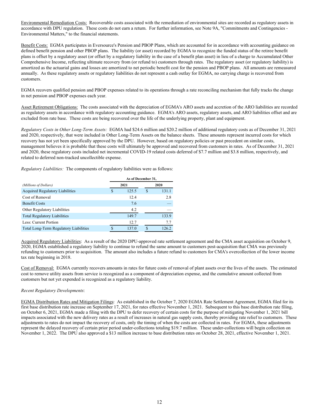Environmental Remediation Costs:Recoverable costs associated with the remediation of environmental sites are recorded as regulatory assets in accordance with DPU regulation. These costs do not earn a return. For further information, see Note 9A, "Commitments and Contingencies - Environmental Matters," to the financial statements.

Benefit Costs: EGMA participates in Eversource's Pension and PBOP Plans, which are accounted for in accordance with accounting guidance on defined benefit pension and other PBOP plans. The liability (or asset) recorded by EGMA to recognize the funded status of the retiree benefit plans is offset by a regulatory asset (or offset by a regulatory liability in the case of a benefit plan asset) in lieu of a charge to Accumulated Other Comprehensive Income, reflecting ultimate recovery from (or refund to) customers through rates. The regulatory asset (or regulatory liability) is amortized as the actuarial gains and losses are amortized to net periodic benefit cost for the pension and PBOP plans. All amounts are remeasured annually. As these regulatory assets or regulatory liabilities do not represent a cash outlay for EGMA, no carrying charge is recovered from customers.

EGMA recovers qualified pension and PBOP expenses related to its operations through a rate reconciling mechanism that fully tracks the change in net pension and PBOP expenses each year.

Asset Retirement Obligations:The costs associated with the depreciation of EGMA's ARO assets and accretion of the ARO liabilities are recorded as regulatory assets in accordance with regulatory accounting guidance. EGMA's ARO assets, regulatory assets, and ARO liabilities offset and are excluded from rate base. These costs are being recovered over the life of the underlying property, plant and equipment.

*Regulatory Costs in Other Long-Term Assets:* EGMA had \$24.6 million and \$20.2 million of additional regulatory costs as of December 31, 2021 and 2020, respectively, that were included in Other Long-Term Assets on the balance sheets. These amounts represent incurred costs for which recovery has not yet been specifically approved by the DPU. However, based on regulatory policies or past precedent on similar costs, management believes it is probable that these costs will ultimately be approved and recovered from customers in rates. As of December 31, 2021 and 2020, these regulatory costs included net incremental COVID-19 related costs deferred of \$7.7 million and \$3.8 million, respectively, and related to deferred non-tracked uncollectible expense.

*Regulatory Liabilities:* The components of regulatory liabilities were as follows:

|                                               | As of December 31, |       |   |       |  |  |
|-----------------------------------------------|--------------------|-------|---|-------|--|--|
| (Millions of Dollars)                         |                    | 2021  |   | 2020  |  |  |
| <b>Acquired Regulatory Liabilities</b>        | <b>S</b>           | 125.5 | S | 131.1 |  |  |
| Cost of Removal                               |                    | 12.4  |   | 2.8   |  |  |
| <b>Benefit Costs</b>                          |                    | 7.6   |   |       |  |  |
| Other Regulatory Liabilities                  |                    | 4.2   |   |       |  |  |
| <b>Total Regulatory Liabilities</b>           |                    | 149.7 |   | 133.9 |  |  |
| Less: Current Portion                         |                    | 12.7  |   | 7.7   |  |  |
| <b>Total Long-Term Regulatory Liabilities</b> | S                  | 137.0 | S | 126.2 |  |  |

Acquired Regulatory Liabilities: As a result of the 2020 DPU-approved rate settlement agreement and the CMA asset acquisition on October 9, 2020, EGMA established a regulatory liability to continue to refund the same amount to customers post-acquisition that CMA was previously refunding to customers prior to acquisition. The amount also includes a future refund to customers for CMA's overcollection of the lower income tax rate beginning in 2018.

Cost of Removal: EGMA currently recovers amounts in rates for future costs of removal of plant assets over the lives of the assets. The estimated cost to remove utility assets from service is recognized as a component of depreciation expense, and the cumulative amount collected from customers but not yet expended is recognized as a regulatory liability.

#### *Recent Regulatory Developments*:

EGMA Distribution Rates and Mitigation Filings: As established in the October 7, 2020 EGMA Rate Settlement Agreement, EGMA filed for its first base distribution rate increase on September 17, 2021, for rates effective November 1, 2021. Subsequent to this base distribution rate filing, on October 6, 2021, EGMA made a filing with the DPU to defer recovery of certain costs for the purpose of mitigating November 1, 2021 bill impacts associated with the new delivery rates as a result of increases in natural gas supply costs, thereby providing rate relief to customers. These adjustments to rates do not impact the recovery of costs, only the timing of when the costs are collected in rates. For EGMA, these adjustments represent the delayed recovery of certain prior period under-collections totaling \$19.7 million. These under-collections will begin collection on November 1, 2022. The DPU also approved a \$13 million increase to base distribution rates on October 28, 2021, effective November 1, 2021.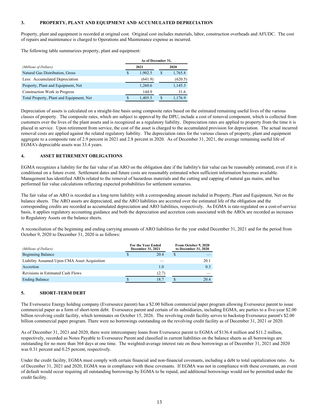#### **3. PROPERTY, PLANT AND EQUIPMENT AND ACCUMULATED DEPRECIATION**

Property, plant and equipment is recorded at original cost. Original cost includes materials, labor, construction overheads and AFUDC. The cost of repairs and maintenance is charged to Operations and Maintenance expense as incurred.

The following table summarizes property, plant and equipment:

|                                          |   |         | As of December 31, |         |  |  |  |
|------------------------------------------|---|---------|--------------------|---------|--|--|--|
| (Millions of Dollars)                    |   |         | 2020               |         |  |  |  |
| Natural Gas Distribution, Gross          | S | 1,902.5 | S                  | 1,765.8 |  |  |  |
| Less: Accumulated Depreciation           |   | (641.9) |                    | (620.5) |  |  |  |
| Property, Plant and Equipment, Net       |   | 1,260.6 |                    | 1,145.3 |  |  |  |
| Construction Work in Progress            |   | 144.9   |                    | 31.6    |  |  |  |
| Total Property, Plant and Equipment, Net | S | 1.405.5 |                    | 1.176.9 |  |  |  |

Depreciation of assets is calculated on a straight-line basis using composite rates based on the estimated remaining useful lives of the various classes of property. The composite rates, which are subject to approval by the DPU, include a cost of removal component, which is collected from customers over the lives of the plant assets and is recognized as a regulatory liability. Depreciation rates are applied to property from the time it is placed in service. Upon retirement from service, the cost of the asset is charged to the accumulated provision for depreciation. The actual incurred removal costs are applied against the related regulatory liability. The depreciation rates for the various classes of property, plant and equipment aggregate to a composite rate of 2.9 percent in 2021 and 2.8 percent in 2020. As of December 31, 2021, the average remaining useful life of EGMA's depreciable assets was 33.4 years.

#### **4. ASSET RETIREMENT OBLIGATIONS**

EGMA recognizes a liability for the fair value of an ARO on the obligation date if the liability's fair value can be reasonably estimated, even if it is conditional on a future event. Settlement dates and future costs are reasonably estimated when sufficient information becomes available. Management has identified AROs related to the removal of hazardous materials and the cutting and capping of natural gas mains, and has performed fair value calculations reflecting expected probabilities for settlement scenarios.

The fair value of an ARO is recorded as a long-term liability with a corresponding amount included in Property, Plant and Equipment, Net on the balance sheets. The ARO assets are depreciated, and the ARO liabilities are accreted over the estimated life of the obligation and the corresponding credits are recorded as accumulated depreciation and ARO liabilities, respectively. As EGMA is rate-regulated on a cost-of-service basis, it applies regulatory accounting guidance and both the depreciation and accretion costs associated with the AROs are recorded as increases to Regulatory Assets on the balance sheets.

A reconciliation of the beginning and ending carrying amounts of ARO liabilities for the year ended December 31, 2021 and for the period from October 9, 2020 to December 31, 2020 is as follows:

| (Millions of Dollars)                        | <b>For the Year Ended</b><br>December 31, 2021 |   | From October 9, 2020<br>to December 31, 2020 |
|----------------------------------------------|------------------------------------------------|---|----------------------------------------------|
| <b>Beginning Balance</b>                     | 20.4                                           | S |                                              |
| Liability Assumed Upon CMA Asset Acquisition |                                                |   | 20.1                                         |
| Accretion                                    | 1.0                                            |   | 0.3                                          |
| Revisions in Estimated Cash Flows            | (2.7)                                          |   |                                              |
| <b>Ending Balance</b>                        | 18.7                                           | S | 20.4                                         |

#### **5. SHORT-TERM DEBT**

The Eversource Energy holding company (Eversource parent) has a \$2.00 billion commercial paper program allowing Eversource parent to issue commercial paper as a form of short-term debt. Eversource parent and certain of its subsidiaries, including EGMA, are parties to a five-year \$2.00 billion revolving credit facility, which terminates on October 15, 2026. The revolving credit facility serves to backstop Eversource parent's \$2.00 billion commercial paper program. There were no borrowings outstanding on the revolving credit facility as of December 31, 2021 or 2020.

As of December 31, 2021 and 2020, there were intercompany loans from Eversource parent to EGMA of \$136.4 million and \$11.2 million, respectively, recorded as Notes Payable to Eversource Parent and classified in current liabilities on the balance sheets as all borrowings are outstanding for no more than 364 days at one time. The weighted-average interest rate on these borrowings as of December 31, 2021 and 2020 was 0.31 percent and 0.25 percent, respectively.

Under the credit facility, EGMA must comply with certain financial and non-financial covenants, including a debt to total capitalization ratio. As of December 31, 2021 and 2020, EGMA was in compliance with these covenants. If EGMA was not in compliance with these covenants, an event of default would occur requiring all outstanding borrowings by EGMA to be repaid, and additional borrowings would not be permitted under the credit facility.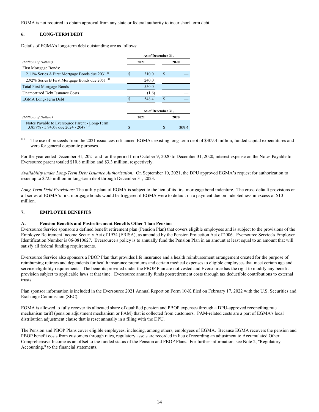EGMA is not required to obtain approval from any state or federal authority to incur short-term debt.

#### **6. LONG-TERM DEBT**

Details of EGMA's long-term debt outstanding are as follows:

|                                                                                                   | As of December 31, |                    |    |       |  |  |  |
|---------------------------------------------------------------------------------------------------|--------------------|--------------------|----|-------|--|--|--|
| (Millions of Dollars)                                                                             |                    | 2021               |    | 2020  |  |  |  |
| First Mortgage Bonds:                                                                             |                    |                    |    |       |  |  |  |
| 2.11% Series A First Mortgage Bonds due 2031 <sup>(1)</sup>                                       | \$                 | 310.0              | \$ |       |  |  |  |
| 2.92% Series B First Mortgage Bonds due 2051 <sup>(1)</sup>                                       |                    | 240.0              |    |       |  |  |  |
| <b>Total First Mortgage Bonds</b>                                                                 |                    | 550.0              |    |       |  |  |  |
| Unamortized Debt Issuance Costs                                                                   |                    | (1.6)              |    |       |  |  |  |
| EGMA Long-Term Debt                                                                               |                    | 548.4              | S  |       |  |  |  |
|                                                                                                   |                    | As of December 31, |    |       |  |  |  |
| (Millions of Dollars)                                                                             |                    | 2021               |    | 2020  |  |  |  |
| Notes Payable to Eversource Parent - Long-Term:<br>3.857% - 5.940% due 2024 - 2047 <sup>(1)</sup> | \$                 |                    |    | 309.4 |  |  |  |

(1) The use of proceeds from the 2021 issuances refinanced EGMA's existing long-term debt of \$309.4 million, funded capital expenditures and were for general corporate purposes.

For the year ended December 31, 2021 and for the period from October 9, 2020 to December 31, 2020, interest expense on the Notes Payable to Eversource parent totaled \$10.8 million and \$3.3 million, respectively.

*Availability under Long-Term Debt Issuance Authorization:* On September 10, 2021, the DPU approved EGMA's request for authorization to issue up to \$725 million in long-term debt through December 31, 2023.

*Long-Term Debt Provisions:* The utility plant of EGMA is subject to the lien of its first mortgage bond indenture. The cross-default provisions on all series of EGMA's first mortgage bonds would be triggered if EGMA were to default on a payment due on indebtedness in excess of \$10 million.

#### **7. EMPLOYEE BENEFITS**

#### **A. Pension Benefits and Postretirement Benefits Other Than Pension**

Eversource Service sponsors a defined benefit retirement plan (Pension Plan) that covers eligible employees and is subject to the provisions of the Employee Retirement Income Security Act of 1974 (ERISA), as amended by the Pension Protection Act of 2006. Eversource Service's Employer Identification Number is 06-0810627. Eversource's policy is to annually fund the Pension Plan in an amount at least equal to an amount that will satisfy all federal funding requirements.

Eversource Service also sponsors a PBOP Plan that provides life insurance and a health reimbursement arrangement created for the purpose of reimbursing retirees and dependents for health insurance premiums and certain medical expenses to eligible employees that meet certain age and service eligibility requirements. The benefits provided under the PBOP Plan are not vested and Eversource has the right to modify any benefit provision subject to applicable laws at that time. Eversource annually funds postretirement costs through tax deductible contributions to external trusts.

Plan sponsor information is included in the Eversource 2021 Annual Report on Form 10-K filed on February 17, 2022 with the U.S. Securities and Exchange Commission (SEC).

EGMA is allowed to fully recover its allocated share of qualified pension and PBOP expenses through a DPU-approved reconciling rate mechanism tariff (pension adjustment mechanism or PAM) that is collected from customers. PAM-related costs are a part of EGMA's local distribution adjustment clause that is reset annually in a filing with the DPU.

The Pension and PBOP Plans cover eligible employees, including, among others, employees of EGMA. Because EGMA recovers the pension and PBOP benefit costs from customers through rates, regulatory assets are recorded in lieu of recording an adjustment to Accumulated Other Comprehensive Income as an offset to the funded status of the Pension and PBOP Plans. For further information, see Note 2, "Regulatory Accounting," to the financial statements.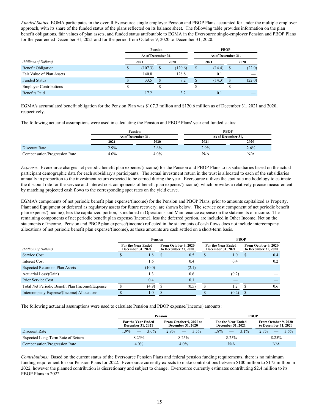*Funded Status:* EGMA participates in the overall Eversource single-employer Pension and PBOP Plans accounted for under the multiple-employer approach, with its share of the funded status of the plans reflected on its balance sheet. The following table provides information on the plan benefit obligations, fair values of plan assets, and funded status attributable to EGMA in the Eversource single-employer Pension and PBOP Plans for the year ended December 31, 2021 and for the period from October 9, 2020 to December 31, 2020:

|                               |   |                    | <b>Pension</b> | <b>PBOP</b>        |      |        |      |        |  |
|-------------------------------|---|--------------------|----------------|--------------------|------|--------|------|--------|--|
|                               |   | As of December 31, |                | As of December 31, |      |        |      |        |  |
| (Millions of Dollars)         |   | 2021               | 2020           |                    | 2021 |        | 2020 |        |  |
| Benefit Obligation            | Φ | (107.3)            |                | (120.6)            | S    | (14.4) |      | (22.0) |  |
| Fair Value of Plan Assets     |   | 140.8              |                | 128.8              |      | 0.1    |      |        |  |
| <b>Funded Status</b>          |   | 33.5               |                | 8.2                |      | (14.3) |      | (22.0) |  |
| <b>Employer Contributions</b> |   | —                  |                |                    |      |        |      |        |  |
| Benefits Paid                 |   | 17.2               |                | 3.2                |      | 0.1    |      |        |  |

EGMA's accumulated benefit obligation for the Pension Plan was \$107.3 million and \$120.6 million as of December 31, 2021 and 2020, respectively.

The following actuarial assumptions were used in calculating the Pension and PBOP Plans' year end funded status:

|                               | Pension            |         | <b>PBOP</b>        |         |
|-------------------------------|--------------------|---------|--------------------|---------|
|                               | As of December 31. |         | As of December 31. |         |
|                               | 2021               | 2020    | 2021               | 2020    |
| Discount Rate                 | 2.9%               | 2.6%    | 2.9%               | $2.6\%$ |
| Compensation/Progression Rate | $4.0\%$            | $4.0\%$ | N/A                | N/A     |

*Expense:* Eversource charges net periodic benefit plan expense/(income) for the Pension and PBOP Plans to its subsidiaries based on the actual participant demographic data for each subsidiary's participants. The actual investment return in the trust is allocated to each of the subsidiaries annually in proportion to the investment return expected to be earned during the year. Eversource utilizes the spot rate methodology to estimate the discount rate for the service and interest cost components of benefit plan expense/(income), which provides a relatively precise measurement by matching projected cash flows to the corresponding spot rates on the yield curve.

EGMA's components of net periodic benefit plan expense/(income) for the Pension and PBOP Plans, prior to amounts capitalized as Property, Plant and Equipment or deferred as regulatory assets for future recovery, are shown below. The service cost component of net periodic benefit plan expense/(income), less the capitalized portion, is included in Operations and Maintenance expense on the statements of income. The remaining components of net periodic benefit plan expense/(income), less the deferred portion, are included in Other Income, Net on the statements of income. Pension and PBOP plan expense/(income) reflected in the statements of cash flows does not include intercompany allocations of net periodic benefit plan expense/(income), as these amounts are cash settled on a short-term basis.

|                                                  |                                                | <b>Pension</b> |                                              | <b>PBOP</b> |                                                       |  |                                              |  |
|--------------------------------------------------|------------------------------------------------|----------------|----------------------------------------------|-------------|-------------------------------------------------------|--|----------------------------------------------|--|
| (Millions of Dollars)                            | <b>For the Year Ended</b><br>December 31, 2021 |                | From October 9, 2020<br>to December 31, 2020 |             | <b>For the Year Ended</b><br><b>December 31, 2021</b> |  | From October 9, 2020<br>to December 31, 2020 |  |
| Service Cost                                     | 1.8                                            |                | 0.5                                          |             | 1.0                                                   |  | 0.4                                          |  |
| Interest Cost                                    | 1.6                                            |                | 0.4                                          |             | 0.4                                                   |  | 0.2                                          |  |
| Expected Return on Plan Assets                   | (10.0)                                         |                | (2.1)                                        |             |                                                       |  |                                              |  |
| Actuarial Loss/(Gain)                            | 1.3                                            |                | 0.6                                          |             | (0.2)                                                 |  |                                              |  |
| Prior Service Cost                               | 0.4                                            |                | 0.1                                          |             | _                                                     |  |                                              |  |
| Total Net Periodic Benefit Plan (Income)/Expense | (4.9)                                          |                | (0.5)                                        |             | $\overline{2}$                                        |  | 0.6                                          |  |
| Intercompany Expense/(Income) Allocations        | 1.0                                            |                |                                              |             | (0.2)                                                 |  |                                              |  |

The following actuarial assumptions were used to calculate Pension and PBOP expense/(income) amounts:

|                                   | Pension                                        |                                                     | <b>PBOP</b>                                    |                                              |  |  |  |  |
|-----------------------------------|------------------------------------------------|-----------------------------------------------------|------------------------------------------------|----------------------------------------------|--|--|--|--|
|                                   | For the Year Ended<br><b>December 31, 2021</b> | From October 9, 2020 to<br><b>December 31, 2020</b> | <b>For the Year Ended</b><br>December 31, 2021 | From October 9, 2020<br>to December 31, 2020 |  |  |  |  |
| Discount Rate                     | $1.9\%$<br>$3.0\%$                             | $2.9\%$<br>$3.5\%$                                  | $.8\%$<br>$3.1\%$                              | $2.7\%$<br>$3.6\%$                           |  |  |  |  |
| Expected Long-Term Rate of Return | 8.25%                                          | 8.25%                                               | 8.25%                                          | 8.25%                                        |  |  |  |  |
| Compensation/Progression Rate     | $4.0\%$                                        | $4.0\%$                                             | N/A                                            | N/A                                          |  |  |  |  |

*Contributions:* Based on the current status of the Eversource Pension Plans and federal pension funding requirements, there is no minimum funding requirement for our Pension Plans for 2022. Eversource currently expects to make contributions between \$100 million to \$175 million in 2022, however the planned contribution is discretionary and subject to change. Eversource currently estimates contributing \$2.4 million to its PBOP Plans in 2022.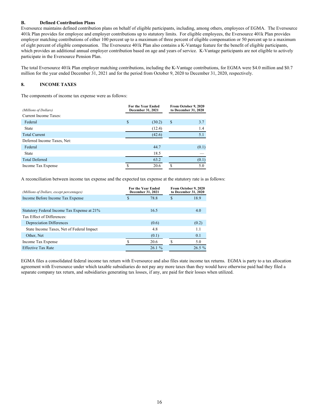#### **B. Defined Contribution Plans**

Eversource maintains defined contribution plans on behalf of eligible participants, including, among others, employees of EGMA. The Eversource 401k Plan provides for employee and employer contributions up to statutory limits. For eligible employees, the Eversource 401k Plan provides employer matching contributions of either 100 percent up to a maximum of three percent of eligible compensation or 50 percent up to a maximum of eight percent of eligible compensation. The Eversource 401k Plan also contains a K-Vantage feature for the benefit of eligible participants, which provides an additional annual employer contribution based on age and years of service. K-Vantage participants are not eligible to actively participate in the Eversource Pension Plan.

The total Eversource 401k Plan employer matching contributions, including the K-Vantage contributions, for EGMA were \$4.0 million and \$0.7 million for the year ended December 31, 2021 and for the period from October 9, 2020 to December 31, 2020, respectively.

#### **8. INCOME TAXES**

The components of income tax expense were as follows:

| (Millions of Dollars)       | <b>For the Year Ended</b><br>December 31, 2021 | From October 9, 2020<br>to December 31, 2020 |    |       |  |
|-----------------------------|------------------------------------------------|----------------------------------------------|----|-------|--|
| Current Income Taxes:       |                                                |                                              |    |       |  |
| Federal                     | \$                                             | (30.2)                                       | \$ | 3.7   |  |
| <b>State</b>                |                                                | (12.4)                                       |    | 1.4   |  |
| <b>Total Current</b>        |                                                | (42.6)                                       |    | 5.1   |  |
| Deferred Income Taxes, Net: |                                                |                                              |    |       |  |
| Federal                     |                                                | 44.7                                         |    | (0.1) |  |
| State                       |                                                | 18.5                                         |    |       |  |
| <b>Total Deferred</b>       |                                                | 63.2                                         |    | (0.1) |  |
| Income Tax Expense          | Φ                                              | 20.6                                         | S  | 5.0   |  |

A reconciliation between income tax expense and the expected tax expense at the statutory rate is as follows:

| (Millions of Dollars, except percentages)   |   | <b>For the Year Ended</b><br><b>December 31, 2021</b> |  | From October 9, 2020<br>to December 31, 2020 |
|---------------------------------------------|---|-------------------------------------------------------|--|----------------------------------------------|
| Income Before Income Tax Expense            | S | 78.8                                                  |  | 18.9                                         |
|                                             |   |                                                       |  |                                              |
| Statutory Federal Income Tax Expense at 21% |   | 16.5                                                  |  | 4.0                                          |
| Tax Effect of Differences:                  |   |                                                       |  |                                              |
| Depreciation Differences                    |   | (0.6)                                                 |  | (0.2)                                        |
| State Income Taxes, Net of Federal Impact   |   | 4.8                                                   |  | 1.1                                          |
| Other, Net                                  |   | (0.1)                                                 |  | 0.1                                          |
| Income Tax Expense                          |   | 20.6                                                  |  | 5.0                                          |
| <b>Effective Tax Rate</b>                   |   | 26.1%                                                 |  | $26.5\%$                                     |
|                                             |   |                                                       |  |                                              |

EGMA files a consolidated federal income tax return with Eversource and also files state income tax returns. EGMA is party to a tax allocation agreement with Eversource under which taxable subsidiaries do not pay any more taxes than they would have otherwise paid had they filed a separate company tax return, and subsidiaries generating tax losses, if any, are paid for their losses when utilized.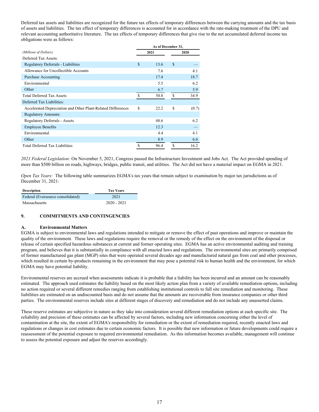Deferred tax assets and liabilities are recognized for the future tax effects of temporary differences between the carrying amounts and the tax basis of assets and liabilities. The tax effect of temporary differences is accounted for in accordance with the rate-making treatment of the DPU and relevant accounting authoritative literature. The tax effects of temporary differences that give rise to the net accumulated deferred income tax obligations were as follows:

|                                                              | As of December 31, |      |               |       |  |  |  |  |  |
|--------------------------------------------------------------|--------------------|------|---------------|-------|--|--|--|--|--|
| (Millions of Dollars)                                        | 2021               |      |               | 2020  |  |  |  |  |  |
| Deferred Tax Assets:                                         |                    |      |               |       |  |  |  |  |  |
| Regulatory Deferrals - Liabilities                           | $\mathbf S$        | 13.6 | <sup>\$</sup> |       |  |  |  |  |  |
| Allowance for Uncollectible Accounts                         |                    | 7.6  |               | 4.1   |  |  |  |  |  |
| <b>Purchase Accounting</b>                                   |                    | 17.4 |               | 18.7  |  |  |  |  |  |
| Environmental                                                |                    | 5.5  |               | 6.2   |  |  |  |  |  |
| Other                                                        |                    | 6.7  |               | 5.9   |  |  |  |  |  |
| <b>Total Deferred Tax Assets</b>                             | S                  | 50.8 | <sup>\$</sup> | 34.9  |  |  |  |  |  |
| Deferred Tax Liabilities:                                    |                    |      |               |       |  |  |  |  |  |
| Accelerated Depreciation and Other Plant-Related Differences | S                  | 22.2 | S             | (0.7) |  |  |  |  |  |
| <b>Regulatory Amounts:</b>                                   |                    |      |               |       |  |  |  |  |  |
| <b>Regulatory Deferrals - Assets</b>                         |                    | 48.6 |               | 6.2   |  |  |  |  |  |
| <b>Employee Benefits</b>                                     |                    | 12.3 |               |       |  |  |  |  |  |
| Environmental                                                |                    | 4.4  |               | 4.1   |  |  |  |  |  |
| Other                                                        |                    | 8.9  |               | 6.6   |  |  |  |  |  |
| Total Deferred Tax Liabilities                               | \$                 | 96.4 | S             | 16.2  |  |  |  |  |  |

*2021 Federal Legislation:* On November 5, 2021, Congress passed the Infrastructure Investment and Jobs Act. The Act provided spending of more than \$500 billion on roads, highways, bridges, public transit, and utilities. The Act did not have a material impact on EGMA in 2021.

*Open Tax Years:* The following table summarizes EGMA's tax years that remain subject to examination by major tax jurisdictions as of December 31, 2021:

| <b>Description</b>                | <b>Tax Years</b> |
|-----------------------------------|------------------|
| Federal (Eversource consolidated) | 2021             |
| Massachusetts                     | $2020 - 2021$    |

#### **9. COMMITMENTS AND CONTINGENCIES**

#### **A. Environmental Matters**

EGMA is subject to environmental laws and regulations intended to mitigate or remove the effect of past operations and improve or maintain the quality of the environment. These laws and regulations require the removal or the remedy of the effect on the environment of the disposal or release of certain specified hazardous substances at current and former operating sites. EGMA has an active environmental auditing and training program, and believes that it is substantially in compliance with all enacted laws and regulations. The environmental sites are primarily comprised of former manufactured gas plant (MGP) sites that were operated several decades ago and manufactured natural gas from coal and other processes, which resulted in certain by-products remaining in the environment that may pose a potential risk to human health and the environment, for which EGMA may have potential liability.

Environmental reserves are accrued when assessments indicate it is probable that a liability has been incurred and an amount can be reasonably estimated. The approach used estimates the liability based on the most likely action plan from a variety of available remediation options, including no action required or several different remedies ranging from establishing institutional controls to full site remediation and monitoring. These liabilities are estimated on an undiscounted basis and do not assume that the amounts are recoverable from insurance companies or other third parties. The environmental reserves include sites at different stages of discovery and remediation and do not include any unasserted claims.

These reserve estimates are subjective in nature as they take into consideration several different remediation options at each specific site. The reliability and precision of these estimates can be affected by several factors, including new information concerning either the level of contamination at the site, the extent of EGMA's responsibility for remediation or the extent of remediation required, recently enacted laws and regulations or changes in cost estimates due to certain economic factors. It is possible that new information or future developments could require a reassessment of the potential exposure to required environmental remediation. As this information becomes available, management will continue to assess the potential exposure and adjust the reserves accordingly.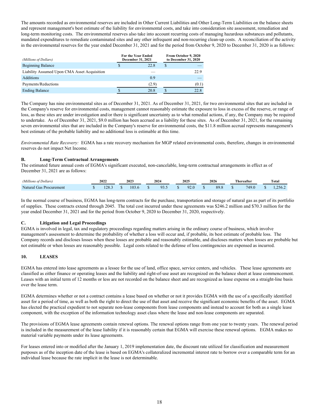The amounts recorded as environmental reserves are included in Other Current Liabilities and Other Long-Term Liabilities on the balance sheets and represent management's best estimate of the liability for environmental costs, and take into consideration site assessment, remediation and long-term monitoring costs. The environmental reserves also take into account recurring costs of managing hazardous substances and pollutants, mandated expenditures to remediate contaminated sites and any other infrequent and non-recurring clean-up costs. A reconciliation of the activity in the environmental reserves for the year ended December 31, 2021 and for the period from October 9, 2020 to December 31, 2020 is as follows:

| (Millions of Dollars)                        |   | <b>For the Year Ended</b><br>December 31, 2021 | From October 9, 2020<br>to December 31, 2020 |
|----------------------------------------------|---|------------------------------------------------|----------------------------------------------|
| <b>Beginning Balance</b>                     | S | 22.8                                           |                                              |
| Liability Assumed Upon CMA Asset Acquisition |   |                                                | 22.9                                         |
| <b>Additions</b>                             |   | 0.9                                            |                                              |
| Payments/Reductions                          |   | (2.9)                                          | (0.1)                                        |
| <b>Ending Balance</b>                        | S | 20.8                                           | 22.8                                         |

The Company has nine environmental sites as of December 31, 2021. As of December 31, 2021, for two environmental sites that are included in the Company's reserve for environmental costs, management cannot reasonably estimate the exposure to loss in excess of the reserve, or range of loss, as these sites are under investigation and/or there is significant uncertainty as to what remedial actions, if any, the Company may be required to undertake. As of December 31, 2021, \$9.0 million has been accrued as a liability for these sites. As of December 31, 2021, for the remaining seven environmental sites that are included in the Company's reserve for environmental costs, the \$11.8 million accrual represents management's best estimate of the probable liability and no additional loss is estimable at this time.

*Environmental Rate Recovery:* EGMA has a rate recovery mechanism for MGP related environmental costs, therefore, changes in environmental reserves do not impact Net Income.

#### **B. Long-Term Contractual Arrangements**

The estimated future annual costs of EGMA's significant executed, non-cancelable, long-term contractual arrangements in effect as of December 31, 2021 are as follows:

| (Millions of Dollars)   | 2022  | 2023  | 2024 | 2025 |      | 2026 |      | l hereafter |       | Total |       |
|-------------------------|-------|-------|------|------|------|------|------|-------------|-------|-------|-------|
| Natural Gas Procurement | 128.3 | 103.6 | 93.5 |      | 92.0 |      | 89.8 |             | 749.0 |       | 256.2 |

In the normal course of business, EGMA has long-term contracts for the purchase, transportation and storage of natural gas as part of its portfolio of supplies. These contracts extend through 2045. The total cost incurred under these agreements was \$246.2 million and \$70.3 million for the year ended December 31, 2021 and for the period from October 9, 2020 to December 31, 2020, respectively.

#### **C. Litigation and Legal Proceedings**

EGMA is involved in legal, tax and regulatory proceedings regarding matters arising in the ordinary course of business, which involve management's assessment to determine the probability of whether a loss will occur and, if probable, its best estimate of probable loss. The Company records and discloses losses when these losses are probable and reasonably estimable, and discloses matters when losses are probable but not estimable or when losses are reasonably possible. Legal costs related to the defense of loss contingencies are expensed as incurred.

#### **10. LEASES**

EGMA has entered into lease agreements as a lessee for the use of land, office space, service centers, and vehicles. These lease agreements are classified as either finance or operating leases and the liability and right-of-use asset are recognized on the balance sheet at lease commencement. Leases with an initial term of 12 months or less are not recorded on the balance sheet and are recognized as lease expense on a straight-line basis over the lease term.

EGMA determines whether or not a contract contains a lease based on whether or not it provides EGMA with the use of a specifically identified asset for a period of time, as well as both the right to direct the use of that asset and receive the significant economic benefits of the asset. EGMA has elected the practical expedient to not separate non-lease components from lease components and instead to account for both as a single lease component, with the exception of the information technology asset class where the lease and non-lease components are separated.

The provisions of EGMA lease agreements contain renewal options. The renewal options range from one year to twenty years. The renewal period is included in the measurement of the lease liability if it is reasonably certain that EGMA will exercise these renewal options. EGMA makes no material variable payments under its lease agreements.

For leases entered into or modified after the January 1, 2019 implementation date, the discount rate utilized for classification and measurement purposes as of the inception date of the lease is based on EGMA's collateralized incremental interest rate to borrow over a comparable term for an individual lease because the rate implicit in the lease is not determinable.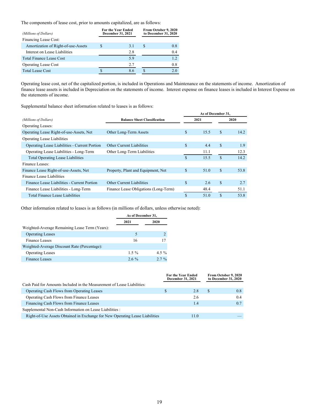The components of lease cost, prior to amounts capitalized, are as follows:

| (Millions of Dollars)               | <b>For the Year Ended</b><br><b>December 31, 2021</b> |     | From October 9, 2020<br>to December 31, 2020 |     |  |
|-------------------------------------|-------------------------------------------------------|-----|----------------------------------------------|-----|--|
| Financing Lease Cost:               |                                                       |     |                                              |     |  |
| Amortization of Right-of-use-Assets | S                                                     | 3.1 | S                                            | 0.8 |  |
| Interest on Lease Liabilities       |                                                       | 2.8 |                                              | 0.4 |  |
| <b>Total Finance Lease Cost</b>     |                                                       | 5.9 |                                              | 12  |  |
| <b>Operating Lease Cost</b>         |                                                       | 2.7 |                                              | 0.8 |  |
| <b>Total Lease Cost</b>             |                                                       | 8.6 |                                              | 2.0 |  |

Operating lease cost, net of the capitalized portion, is included in Operations and Maintenance on the statements of income. Amortization of finance lease assets is included in Depreciation on the statements of income. Interest expense on finance leases is included in Interest Expense on the statements of income.

Supplemental balance sheet information related to leases is as follows:

|                                                      |                                       | As of December 31, |      |                    |      |
|------------------------------------------------------|---------------------------------------|--------------------|------|--------------------|------|
| (Millions of Dollars)                                | <b>Balance Sheet Classification</b>   | 2021               |      | 2020               |      |
| <b>Operating Leases:</b>                             |                                       |                    |      |                    |      |
| Operating Lease Right-of-use-Assets, Net             | Other Long-Term Assets                | \$                 | 15.5 | $\mathbf{s}$       | 14.2 |
| <b>Operating Lease Liabilities</b>                   |                                       |                    |      |                    |      |
| <b>Operating Lease Liabilities - Current Portion</b> | <b>Other Current Liabilities</b>      | $\mathbf S$        | 4.4  | $\mathcal{S}$      | 1.9  |
| Operating Lease Liabilities - Long-Term              | Other Long-Term Liabilities           |                    | 11.1 |                    | 12.3 |
| <b>Total Operating Lease Liabilities</b>             |                                       | \$                 | 15.5 | \$                 | 14.2 |
| Finance Leases:                                      |                                       |                    |      |                    |      |
| Finance Lease Right-of-use-Assets, Net               | Property, Plant and Equipment, Net    | \$                 | 51.0 | $\mathbf S$        | 53.8 |
| Finance Lease Liabilities                            |                                       |                    |      |                    |      |
| Finance Lease Liabilities - Current Portion          | <b>Other Current Liabilities</b>      | $\mathbf{s}$       | 2.6  | $\mathbf S$        | 2.7  |
| Finance Lease Liabilities - Long-Term                | Finance Lease Obligations (Long-Term) |                    | 48.4 |                    | 51.1 |
| Total Finance Lease Liabilities                      |                                       | \$.                | 51.0 | $\mathbf{\hat{S}}$ | 53.8 |

Other information related to leases is as follows (in millions of dollars, unless otherwise noted):

|                                                | As of December 31, |         |  |
|------------------------------------------------|--------------------|---------|--|
|                                                | 2021               | 2020    |  |
| Weighted-Average Remaining Lease Term (Years): |                    |         |  |
| <b>Operating Leases</b>                        |                    |         |  |
| Finance Leases                                 | 16                 | 17      |  |
| Weighted-Average Discount Rate (Percentage):   |                    |         |  |
| <b>Operating Leases</b>                        | $1.5 \%$           | $45\%$  |  |
| <b>Finance Leases</b>                          | $2.6 \%$           | $2.7\%$ |  |

|                                                                              | <b>For the Year Ended</b><br><b>December 31, 2021</b> |      | From October 9, 2020<br>to December 31, 2020 |     |
|------------------------------------------------------------------------------|-------------------------------------------------------|------|----------------------------------------------|-----|
| Cash Paid for Amounts Included in the Measurement of Lease Liabilities:      |                                                       |      |                                              |     |
| <b>Operating Cash Flows from Operating Leases</b>                            | S                                                     | 2.8  | S                                            | 0.8 |
| Operating Cash Flows from Finance Leases                                     |                                                       | 2.6  |                                              | 0.4 |
| Financing Cash Flows from Finance Leases                                     |                                                       | 1.4  |                                              | 0.7 |
| Supplemental Non-Cash Information on Lease Liabilities :                     |                                                       |      |                                              |     |
| Right-of-Use Assets Obtained in Exchange for New Operating Lease Liabilities |                                                       | 11.0 |                                              |     |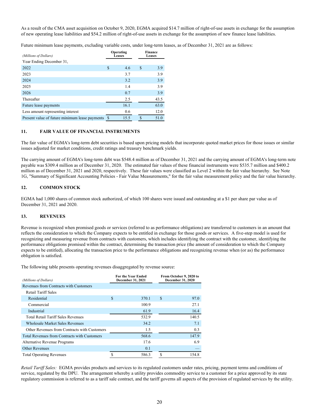As a result of the CMA asset acquisition on October 9, 2020, EGMA acquired \$14.7 million of right-of-use assets in exchange for the assumption of new operating lease liabilities and \$54.2 million of right-of-use assets in exchange for the assumption of new finance lease liabilities.

Future minimum lease payments, excluding variable costs, under long-term leases, as of December 31, 2021 are as follows:

| (Millions of Dollars)                             | Operating<br><b>Leases</b> |      |     | Finance<br><b>Leases</b> |  |  |
|---------------------------------------------------|----------------------------|------|-----|--------------------------|--|--|
| Year Ending December 31,                          |                            |      |     |                          |  |  |
| 2022                                              | \$                         | 4.6  | S   | 3.9                      |  |  |
| 2023                                              |                            | 3.7  |     | 3.9                      |  |  |
| 2024                                              |                            | 3.2  |     | 3.9                      |  |  |
| 2025                                              |                            | 1.4  |     | 3.9                      |  |  |
| 2026                                              |                            | 0.7  |     | 3.9                      |  |  |
| Thereafter                                        |                            | 2.5  |     | 43.5                     |  |  |
| Future lease payments                             |                            | 16.1 |     | 63.0                     |  |  |
| Less amount representing interest                 |                            | 0.6  |     | 12.0                     |  |  |
| Present value of future minimum lease payments \$ |                            | 15.5 | \$. | 51.0                     |  |  |

#### **11. FAIR VALUE OF FINANCIAL INSTRUMENTS**

The fair value of EGMA's long-term debt securities is based upon pricing models that incorporate quoted market prices for those issues or similar issues adjusted for market conditions, credit ratings and treasury benchmark yields.

The carrying amount of EGMA's long-term debt was \$548.4 million as of December 31, 2021 and the carrying amount of EGMA's long-term note payable was \$309.4 million as of December 31, 2020. The estimated fair values of these financial instruments were \$535.7 million and \$400.2 million as of December 31, 2021 and 2020, respectively. These fair values were classified as Level 2 within the fair value hierarchy. See Note 1G, "Summary of Significant Accounting Policies - Fair Value Measurements," for the fair value measurement policy and the fair value hierarchy.

#### **12. COMMON STOCK**

EGMA had 1,000 shares of common stock authorized, of which 100 shares were issued and outstanding at a \$1 per share par value as of December 31, 2021 and 2020.

#### **13. REVENUES**

Revenue is recognized when promised goods or services (referred to as performance obligations) are transferred to customers in an amount that reflects the consideration to which the Company expects to be entitled in exchange for those goods or services. A five-step model is used for recognizing and measuring revenue from contracts with customers, which includes identifying the contract with the customer, identifying the performance obligations promised within the contract, determining the transaction price (the amount of consideration to which the Company expects to be entitled), allocating the transaction price to the performance obligations and recognizing revenue when (or as) the performance obligation is satisfied.

The following table presents operating revenues disaggregated by revenue source:

| (Millions of Dollars)                        | <b>For the Year Ended</b><br>December 31, 2021 |       | From October 9, 2020 to<br><b>December 31, 2020</b> |       |
|----------------------------------------------|------------------------------------------------|-------|-----------------------------------------------------|-------|
| Revenues from Contracts with Customers       |                                                |       |                                                     |       |
| Retail Tariff Sales                          |                                                |       |                                                     |       |
| Residential                                  | \$                                             | 370.1 | <sup>\$</sup>                                       | 97.0  |
| Commercial                                   |                                                | 100.9 |                                                     | 27.1  |
| Industrial                                   |                                                | 61.9  |                                                     | 16.4  |
| <b>Total Retail Tariff Sales Revenues</b>    |                                                | 532.9 |                                                     | 140.5 |
| Wholesale Market Sales Revenues              |                                                | 34.2  |                                                     | 7.1   |
| Other Revenues from Contracts with Customers |                                                | 1.5   |                                                     | 0.3   |
| Total Revenues from Contracts with Customers |                                                | 568.6 |                                                     | 147.9 |
| Alternative Revenue Programs                 |                                                | 17.6  |                                                     | 6.9   |
| <b>Other Revenues</b>                        |                                                | 0.1   |                                                     |       |
| <b>Total Operating Revenues</b>              |                                                | 586.3 | S                                                   | 154.8 |

*Retail Tariff Sales:* EGMA provides products and services to its regulated customers under rates, pricing, payment terms and conditions of service, regulated by the DPU. The arrangement whereby a utility provides commodity service to a customer for a price approved by its state regulatory commission is referred to as a tariff sale contract, and the tariff governs all aspects of the provision of regulated services by the utility.